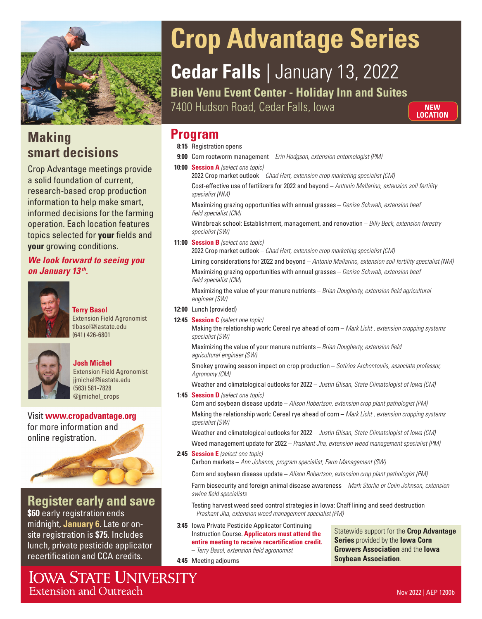

### **Making smart decisions**

Crop Advantage meetings provide a solid foundation of current, research-based crop production information to help make smart, informed decisions for the farming operation. Each location features topics selected for **your** fields and **your** growing conditions.

### *We look forward to seeing you on January 13 th.*



#### **Terry Basol** Extension Field Agronomist tlbasol@iastate.edu (641) 426-6801



### **Josh Michel**

Extension Field Agronomist jjmichel@iastate.edu (563) 581-7828 @jjmichel\_crops

Visit **www.cropadvantage.org** for more information and online registration.



## **Register early and save**

**\$60** early registration ends midnight, **January 6**. Late or onsite registration is **\$75**. Includes lunch, private pesticide applicator recertification and CCA credits.

**IOWA STATE UNIVERSITY Extension and Outreach** 

# **Crop Advantage Series**

# **Cedar Falls** | January 13, 2022

**Bien Venu Event Center - Holiday Inn and Suites**  7400 Hudson Road, Cedar Falls, Iowa

**NEW LOCATION**

## **Program Program**

**8:15** Registration opens

- **9:00** Corn rootworm management *Erin Hodgson, extension entomologist (PM)*
- **10:00 Session A** *(select one topic)* 2022 Crop market outlook – *Chad Hart, extension crop marketing specialist (CM)* Cost-effective use of fertilizers for 2022 and beyond – *Antonio Mallarino, extension soil fertility specialist (NM)*

Maximizing grazing opportunities with annual grasses – *Denise Schwab, extension beef field specialist (CM)* 

Windbreak school: Establishment, management, and renovation – *Billy Beck, extension forestry specialist (SW)*

**11:00 Session B** *(select one topic)*

2022 Crop market outlook – *Chad Hart, extension crop marketing specialist (CM)*

Liming considerations for 2022 and beyond – *Antonio Mallarino, extension soil fertility specialist (NM)* 

Maximizing grazing opportunities with annual grasses – *Denise Schwab, extension beef field specialist (CM)* 

Maximizing the value of your manure nutrients – *Brian Dougherty, extension field agricultural engineer (SW)*

**12:00** Lunch (provided)

**12:45 Session C** *(select one topic)*

Making the relationship work: Cereal rye ahead of corn – *Mark Licht , extension cropping systems specialist (SW)* 

Maximizing the value of your manure nutrients – *Brian Dougherty, extension field agricultural engineer (SW)* 

Smokey growing season impact on crop production – *Sotirios Archontoulis, associate professor, Agronomy (CM)* 

Weather and climatological outlooks for 2022 – *Justin Glisan, State Climatologist of Iowa (CM)*

**1:45 Session D** *(select one topic)*

Corn and soybean disease update – *Alison Robertson, extension crop plant pathologist (PM)* Making the relationship work: Cereal rye ahead of corn – *Mark Licht , extension cropping systems specialist (SW)* 

Weather and climatological outlooks for 2022 – *Justin Glisan, State Climatologist of Iowa (CM)*

Weed management update for 2022 – *Prashant Jha, extension weed management specialist (PM)*

**2:45 Session E** *(select one topic)*

**4:45** Meeting adjourns

Carbon markets – *Ann Johanns, program specialist, Farm Management (SW)*

Corn and soybean disease update – *Alison Robertson, extension crop plant pathologist (PM)*

Farm biosecurity and foreign animal disease awareness – *Mark Storlie or Colin Johnson, extension swine field specialists*

Testing harvest weed seed control strategies in Iowa: Chaff lining and seed destruction – *Prashant Jha, extension weed management specialist (PM)*

**3:45** Iowa Private Pesticide Applicator Continuing Instruction Course. **Applicators must attend the entire meeting to receive recertification credit.** – *Terry Basol, extension field agronomist* 

Statewide support for the **Crop Advantage Series** provided by the **Iowa Corn Growers Association** and the **Iowa Soybean Association**.